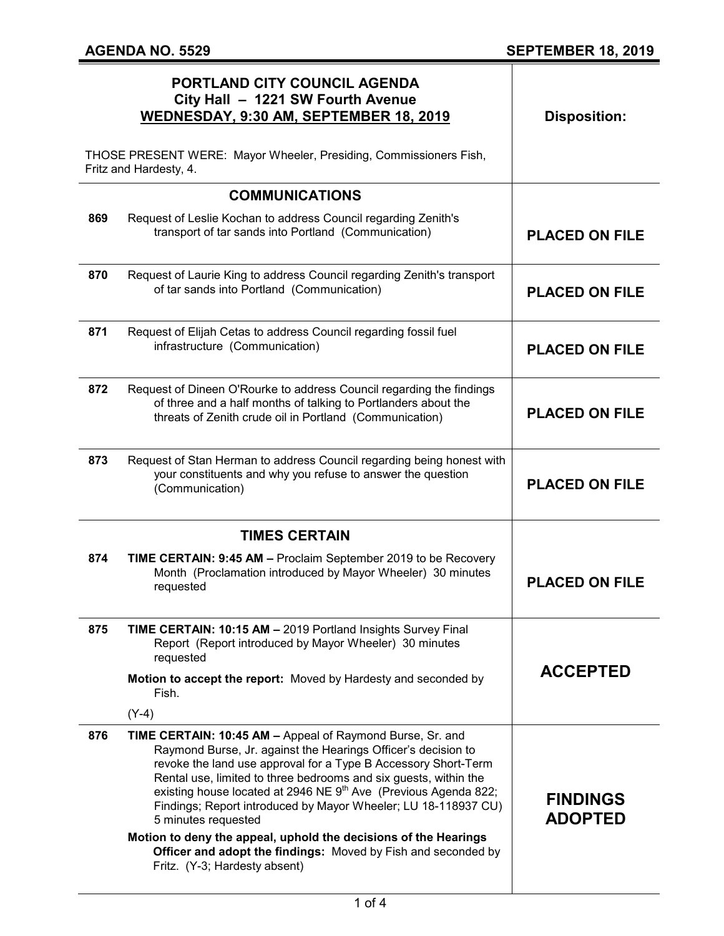|                                                                                             | PORTLAND CITY COUNCIL AGENDA<br>City Hall - 1221 SW Fourth Avenue<br>WEDNESDAY, 9:30 AM, SEPTEMBER 18, 2019                                                                                                                                                                                                                                                                                                                                                                                                                                                                  | <b>Disposition:</b>               |
|---------------------------------------------------------------------------------------------|------------------------------------------------------------------------------------------------------------------------------------------------------------------------------------------------------------------------------------------------------------------------------------------------------------------------------------------------------------------------------------------------------------------------------------------------------------------------------------------------------------------------------------------------------------------------------|-----------------------------------|
| THOSE PRESENT WERE: Mayor Wheeler, Presiding, Commissioners Fish,<br>Fritz and Hardesty, 4. |                                                                                                                                                                                                                                                                                                                                                                                                                                                                                                                                                                              |                                   |
|                                                                                             | <b>COMMUNICATIONS</b>                                                                                                                                                                                                                                                                                                                                                                                                                                                                                                                                                        |                                   |
| 869                                                                                         | Request of Leslie Kochan to address Council regarding Zenith's<br>transport of tar sands into Portland (Communication)                                                                                                                                                                                                                                                                                                                                                                                                                                                       | <b>PLACED ON FILE</b>             |
| 870                                                                                         | Request of Laurie King to address Council regarding Zenith's transport<br>of tar sands into Portland (Communication)                                                                                                                                                                                                                                                                                                                                                                                                                                                         | <b>PLACED ON FILE</b>             |
| 871                                                                                         | Request of Elijah Cetas to address Council regarding fossil fuel<br>infrastructure (Communication)                                                                                                                                                                                                                                                                                                                                                                                                                                                                           | <b>PLACED ON FILE</b>             |
| 872                                                                                         | Request of Dineen O'Rourke to address Council regarding the findings<br>of three and a half months of talking to Portlanders about the<br>threats of Zenith crude oil in Portland (Communication)                                                                                                                                                                                                                                                                                                                                                                            | <b>PLACED ON FILE</b>             |
| 873                                                                                         | Request of Stan Herman to address Council regarding being honest with<br>your constituents and why you refuse to answer the question<br>(Communication)                                                                                                                                                                                                                                                                                                                                                                                                                      | <b>PLACED ON FILE</b>             |
| <b>TIMES CERTAIN</b>                                                                        |                                                                                                                                                                                                                                                                                                                                                                                                                                                                                                                                                                              |                                   |
| 874                                                                                         | TIME CERTAIN: 9:45 AM - Proclaim September 2019 to be Recovery<br>Month (Proclamation introduced by Mayor Wheeler) 30 minutes<br>requested                                                                                                                                                                                                                                                                                                                                                                                                                                   | <b>PLACED ON FILE</b>             |
| 875                                                                                         | TIME CERTAIN: 10:15 AM - 2019 Portland Insights Survey Final<br>Report (Report introduced by Mayor Wheeler) 30 minutes<br>requested                                                                                                                                                                                                                                                                                                                                                                                                                                          |                                   |
|                                                                                             | Motion to accept the report: Moved by Hardesty and seconded by<br>Fish.                                                                                                                                                                                                                                                                                                                                                                                                                                                                                                      | <b>ACCEPTED</b>                   |
|                                                                                             | $(Y-4)$                                                                                                                                                                                                                                                                                                                                                                                                                                                                                                                                                                      |                                   |
| 876                                                                                         | TIME CERTAIN: 10:45 AM - Appeal of Raymond Burse, Sr. and<br>Raymond Burse, Jr. against the Hearings Officer's decision to<br>revoke the land use approval for a Type B Accessory Short-Term<br>Rental use, limited to three bedrooms and six guests, within the<br>existing house located at 2946 NE 9 <sup>th</sup> Ave (Previous Agenda 822;<br>Findings; Report introduced by Mayor Wheeler; LU 18-118937 CU)<br>5 minutes requested<br>Motion to deny the appeal, uphold the decisions of the Hearings<br>Officer and adopt the findings: Moved by Fish and seconded by | <b>FINDINGS</b><br><b>ADOPTED</b> |
|                                                                                             | Fritz. (Y-3; Hardesty absent)                                                                                                                                                                                                                                                                                                                                                                                                                                                                                                                                                |                                   |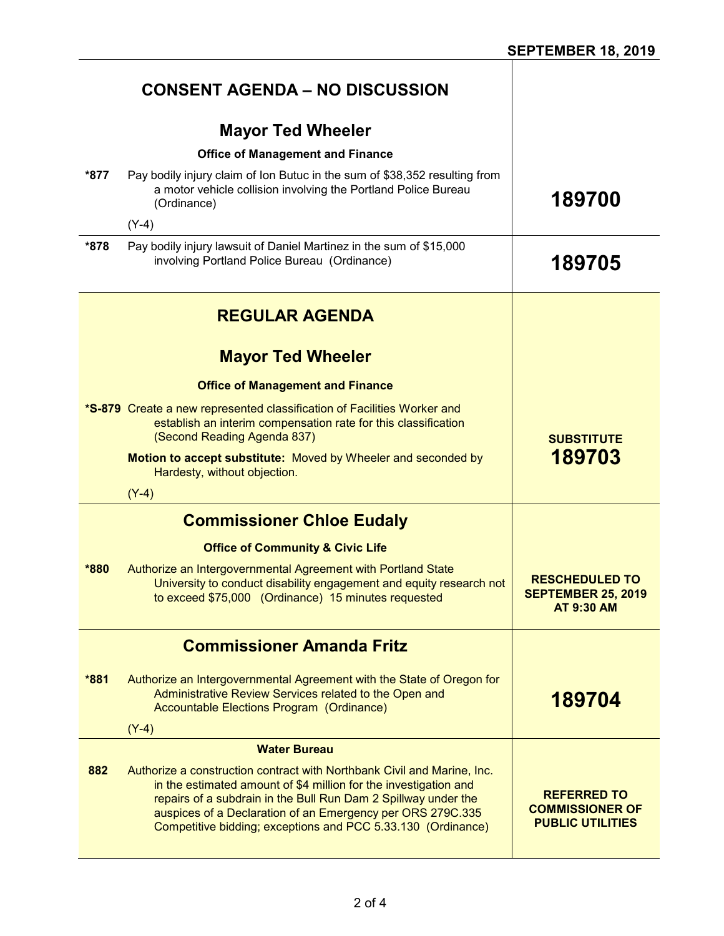|      | <b>CONSENT AGENDA - NO DISCUSSION</b>                                                                                                                                                                                                                                                                                                       |                                                                         |
|------|---------------------------------------------------------------------------------------------------------------------------------------------------------------------------------------------------------------------------------------------------------------------------------------------------------------------------------------------|-------------------------------------------------------------------------|
|      | <b>Mayor Ted Wheeler</b>                                                                                                                                                                                                                                                                                                                    |                                                                         |
| *877 | <b>Office of Management and Finance</b>                                                                                                                                                                                                                                                                                                     |                                                                         |
|      | Pay bodily injury claim of Ion Butuc in the sum of \$38,352 resulting from<br>a motor vehicle collision involving the Portland Police Bureau<br>(Ordinance)                                                                                                                                                                                 | 189700                                                                  |
|      | $(Y-4)$                                                                                                                                                                                                                                                                                                                                     |                                                                         |
| *878 | Pay bodily injury lawsuit of Daniel Martinez in the sum of \$15,000<br>involving Portland Police Bureau (Ordinance)                                                                                                                                                                                                                         | 189705                                                                  |
|      | <b>REGULAR AGENDA</b>                                                                                                                                                                                                                                                                                                                       |                                                                         |
|      | <b>Mayor Ted Wheeler</b>                                                                                                                                                                                                                                                                                                                    |                                                                         |
|      | <b>Office of Management and Finance</b>                                                                                                                                                                                                                                                                                                     |                                                                         |
|      | *S-879 Create a new represented classification of Facilities Worker and<br>establish an interim compensation rate for this classification<br>(Second Reading Agenda 837)                                                                                                                                                                    | <b>SUBSTITUTE</b>                                                       |
|      | Motion to accept substitute: Moved by Wheeler and seconded by<br>Hardesty, without objection.                                                                                                                                                                                                                                               | 189703                                                                  |
|      | $(Y-4)$                                                                                                                                                                                                                                                                                                                                     |                                                                         |
|      | <b>Commissioner Chloe Eudaly</b>                                                                                                                                                                                                                                                                                                            |                                                                         |
|      | <b>Office of Community &amp; Civic Life</b>                                                                                                                                                                                                                                                                                                 |                                                                         |
| *880 | Authorize an Intergovernmental Agreement with Portland State<br>University to conduct disability engagement and equity research not<br>to exceed \$75,000 (Ordinance) 15 minutes requested                                                                                                                                                  | <b>RESCHEDULED TO</b><br><b>SEPTEMBER 25, 2019</b><br><b>AT 9:30 AM</b> |
|      | <b>Commissioner Amanda Fritz</b>                                                                                                                                                                                                                                                                                                            |                                                                         |
| *881 | Authorize an Intergovernmental Agreement with the State of Oregon for<br>Administrative Review Services related to the Open and<br>Accountable Elections Program (Ordinance)<br>$(Y-4)$                                                                                                                                                     | 189704                                                                  |
|      | <b>Water Bureau</b>                                                                                                                                                                                                                                                                                                                         |                                                                         |
| 882  | Authorize a construction contract with Northbank Civil and Marine, Inc.<br>in the estimated amount of \$4 million for the investigation and<br>repairs of a subdrain in the Bull Run Dam 2 Spillway under the<br>auspices of a Declaration of an Emergency per ORS 279C.335<br>Competitive bidding; exceptions and PCC 5.33.130 (Ordinance) | <b>REFERRED TO</b><br><b>COMMISSIONER OF</b><br><b>PUBLIC UTILITIES</b> |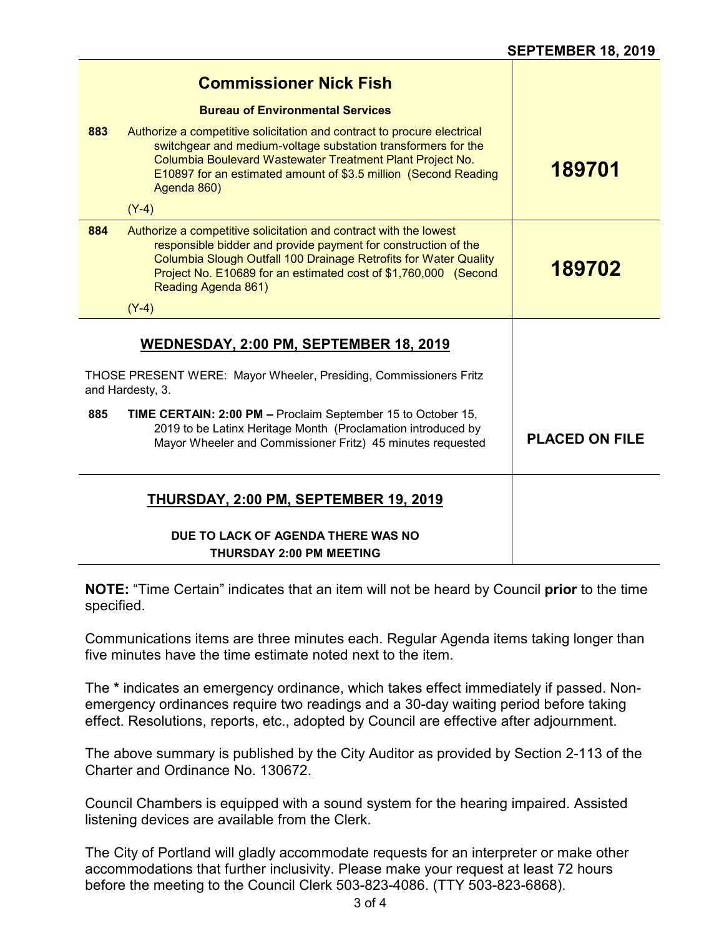|                                                                                       | <b>Commissioner Nick Fish</b>                                                                                                                                                                                                                                                                     |                       |
|---------------------------------------------------------------------------------------|---------------------------------------------------------------------------------------------------------------------------------------------------------------------------------------------------------------------------------------------------------------------------------------------------|-----------------------|
|                                                                                       | <b>Bureau of Environmental Services</b>                                                                                                                                                                                                                                                           |                       |
| 883                                                                                   | Authorize a competitive solicitation and contract to procure electrical<br>switchgear and medium-voltage substation transformers for the<br>Columbia Boulevard Wastewater Treatment Plant Project No.<br>E10897 for an estimated amount of \$3.5 million (Second Reading<br>Agenda 860)           | 189701                |
|                                                                                       | $(Y-4)$                                                                                                                                                                                                                                                                                           |                       |
| 884                                                                                   | Authorize a competitive solicitation and contract with the lowest<br>responsible bidder and provide payment for construction of the<br>Columbia Slough Outfall 100 Drainage Retrofits for Water Quality<br>Project No. E10689 for an estimated cost of \$1,760,000 (Second<br>Reading Agenda 861) | 189702                |
|                                                                                       | $(Y-4)$                                                                                                                                                                                                                                                                                           |                       |
|                                                                                       | WEDNESDAY, 2:00 PM, SEPTEMBER 18, 2019                                                                                                                                                                                                                                                            |                       |
| THOSE PRESENT WERE: Mayor Wheeler, Presiding, Commissioners Fritz<br>and Hardesty, 3. |                                                                                                                                                                                                                                                                                                   |                       |
| 885                                                                                   | TIME CERTAIN: 2:00 PM - Proclaim September 15 to October 15,<br>2019 to be Latinx Heritage Month (Proclamation introduced by<br>Mayor Wheeler and Commissioner Fritz) 45 minutes requested                                                                                                        | <b>PLACED ON FILE</b> |
|                                                                                       | THURSDAY, 2:00 PM, SEPTEMBER 19, 2019                                                                                                                                                                                                                                                             |                       |
|                                                                                       | DUE TO LACK OF AGENDA THERE WAS NO<br><b>THURSDAY 2:00 PM MEETING</b>                                                                                                                                                                                                                             |                       |

**NOTE:** "Time Certain" indicates that an item will not be heard by Council **prior** to the time specified.

Communications items are three minutes each. Regular Agenda items taking longer than five minutes have the time estimate noted next to the item.

The **\*** indicates an emergency ordinance, which takes effect immediately if passed. Nonemergency ordinances require two readings and a 30-day waiting period before taking effect. Resolutions, reports, etc., adopted by Council are effective after adjournment.

The above summary is published by the City Auditor as provided by Section 2-113 of the Charter and Ordinance No. 130672.

Council Chambers is equipped with a sound system for the hearing impaired. Assisted listening devices are available from the Clerk.

The City of Portland will gladly accommodate requests for an interpreter or make other accommodations that further inclusivity. Please make your request at least 72 hours before the meeting to the Council Clerk 503-823-4086. (TTY 503-823-6868).